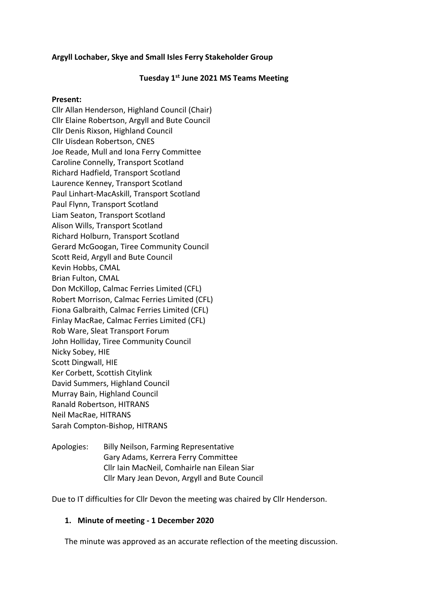# **Argyll Lochaber, Skye and Small Isles Ferry Stakeholder Group**

### **Tuesday 1st June 2021 MS Teams Meeting**

#### **Present:**

Cllr Allan Henderson, Highland Council (Chair) Cllr Elaine Robertson, Argyll and Bute Council Cllr Denis Rixson, Highland Council Cllr Uisdean Robertson, CNES Joe Reade, Mull and Iona Ferry Committee Caroline Connelly, Transport Scotland Richard Hadfield, Transport Scotland Laurence Kenney, Transport Scotland Paul Linhart-MacAskill, Transport Scotland Paul Flynn, Transport Scotland Liam Seaton, Transport Scotland Alison Wills, Transport Scotland Richard Holburn, Transport Scotland Gerard McGoogan, Tiree Community Council Scott Reid, Argyll and Bute Council Kevin Hobbs, CMAL Brian Fulton, CMAL Don McKillop, Calmac Ferries Limited (CFL) Robert Morrison, Calmac Ferries Limited (CFL) Fiona Galbraith, Calmac Ferries Limited (CFL) Finlay MacRae, Calmac Ferries Limited (CFL) Rob Ware, Sleat Transport Forum John Holliday, Tiree Community Council Nicky Sobey, HIE Scott Dingwall, HIE Ker Corbett, Scottish Citylink David Summers, Highland Council Murray Bain, Highland Council Ranald Robertson, HITRANS Neil MacRae, HITRANS Sarah Compton-Bishop, HITRANS

Apologies: Billy Neilson, Farming Representative Gary Adams, Kerrera Ferry Committee Cllr Iain MacNeil, Comhairle nan Eilean Siar Cllr Mary Jean Devon, Argyll and Bute Council

Due to IT difficulties for Cllr Devon the meeting was chaired by Cllr Henderson.

### **1. Minute of meeting - 1 December 2020**

The minute was approved as an accurate reflection of the meeting discussion.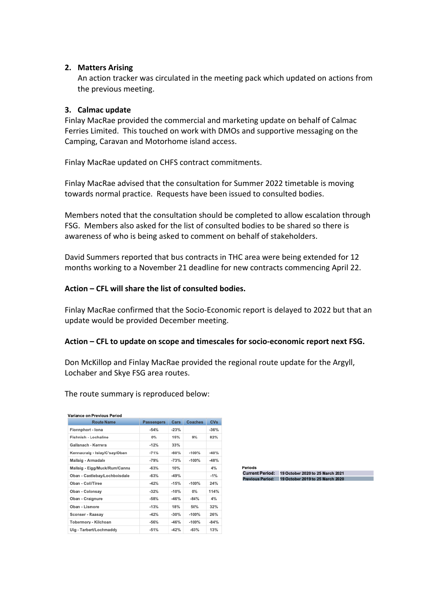### **2. Matters Arising**

An action tracker was circulated in the meeting pack which updated on actions from the previous meeting.

### **3. Calmac update**

Finlay MacRae provided the commercial and marketing update on behalf of Calmac Ferries Limited. This touched on work with DMOs and supportive messaging on the Camping, Caravan and Motorhome island access.

Finlay MacRae updated on CHFS contract commitments.

Finlay MacRae advised that the consultation for Summer 2022 timetable is moving towards normal practice. Requests have been issued to consulted bodies.

Members noted that the consultation should be completed to allow escalation through FSG. Members also asked for the list of consulted bodies to be shared so there is awareness of who is being asked to comment on behalf of stakeholders.

David Summers reported that bus contracts in THC area were being extended for 12 months working to a November 21 deadline for new contracts commencing April 22.

### **Action – CFL will share the list of consulted bodies.**

Finlay MacRae confirmed that the Socio-Economic report is delayed to 2022 but that an update would be provided December meeting.

#### **Action – CFL to update on scope and timescales for socio-economic report next FSG.**

Don McKillop and Finlay MacRae provided the regional route update for the Argyll, Lochaber and Skye FSG area routes.

| <b>Route Name</b>             | <b>Passengers</b> | Cars   | <b>Coaches</b> | <b>CVs</b> |
|-------------------------------|-------------------|--------|----------------|------------|
| Fionnphort - Iona             | $-54%$            | $-23%$ |                | $-36%$     |
| Fishnish - Lochaline          | 0%                | 15%    | 9%             | 82%        |
| Gallanach - Kerrera           | $-12%$            | 33%    |                |            |
| Kennacraig - Islay/C'say/Oban | $-71%$            | $-60%$ | $-100%$        | $-40%$     |
| Mallaig - Armadale            | $-79%$            | $-73%$ | $-100%$        | $-48%$     |
| Mallaig - Eigg/Muck/Rum/Canna | $-63%$            | 10%    |                | 4%         |
| Oban - Castlebay/Lochboisdale | $-63%$            | $-49%$ |                | $-1%$      |
| Oban - Coll/Tiree             | $-42%$            | $-15%$ | $-100%$        | 24%        |
| Oban - Colonsay               | $-32%$            | $-10%$ | 0%             | 114%       |
| Oban - Craignure              | $-58%$            | $-46%$ | $-84%$         | 4%         |
| Oban - Lismore                | $-13%$            | 18%    | 50%            | 32%        |
| Sconser - Raasay              | $-42%$            | $-30%$ | $-100%$        | 26%        |
| Tobermory - Kilchoan          | $-56%$            | $-46%$ | $-100%$        | $-84%$     |
| Uig - Tarbert/Lochmaddy       | $-51%$            | $-42%$ | $-63%$         | 13%        |

The route summary is reproduced below:

Current Period: 19 October 2020 to 25 March 2021<br>Previous Period: 19 October 2019 to 25 March 2020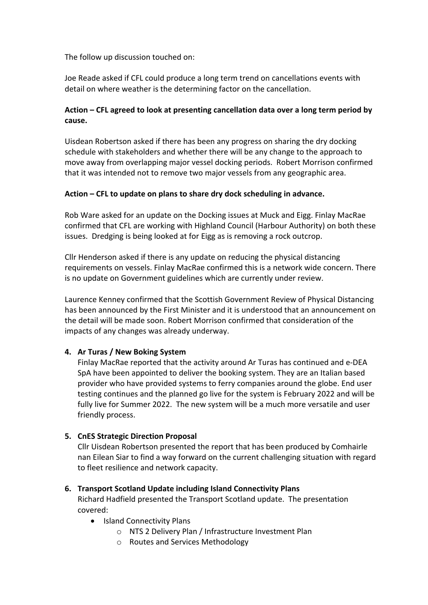The follow up discussion touched on:

Joe Reade asked if CFL could produce a long term trend on cancellations events with detail on where weather is the determining factor on the cancellation.

# **Action – CFL agreed to look at presenting cancellation data over a long term period by cause.**

Uisdean Robertson asked if there has been any progress on sharing the dry docking schedule with stakeholders and whether there will be any change to the approach to move away from overlapping major vessel docking periods. Robert Morrison confirmed that it was intended not to remove two major vessels from any geographic area.

# **Action – CFL to update on plans to share dry dock scheduling in advance.**

Rob Ware asked for an update on the Docking issues at Muck and Eigg. Finlay MacRae confirmed that CFL are working with Highland Council (Harbour Authority) on both these issues. Dredging is being looked at for Eigg as is removing a rock outcrop.

Cllr Henderson asked if there is any update on reducing the physical distancing requirements on vessels. Finlay MacRae confirmed this is a network wide concern. There is no update on Government guidelines which are currently under review.

Laurence Kenney confirmed that the Scottish Government Review of Physical Distancing has been announced by the First Minister and it is understood that an announcement on the detail will be made soon. Robert Morrison confirmed that consideration of the impacts of any changes was already underway.

# **4. Ar Turas / New Boking System**

Finlay MacRae reported that the activity around Ar Turas has continued and e-DEA SpA have been appointed to deliver the booking system. They are an Italian based provider who have provided systems to ferry companies around the globe. End user testing continues and the planned go live for the system is February 2022 and will be fully live for Summer 2022. The new system will be a much more versatile and user friendly process.

# **5. CnES Strategic Direction Proposal**

Cllr Uisdean Robertson presented the report that has been produced by Comhairle nan Eilean Siar to find a way forward on the current challenging situation with regard to fleet resilience and network capacity.

### **6. Transport Scotland Update including Island Connectivity Plans**

Richard Hadfield presented the Transport Scotland update. The presentation covered:

- Island Connectivity Plans
	- o NTS 2 Delivery Plan / Infrastructure Investment Plan
	- o Routes and Services Methodology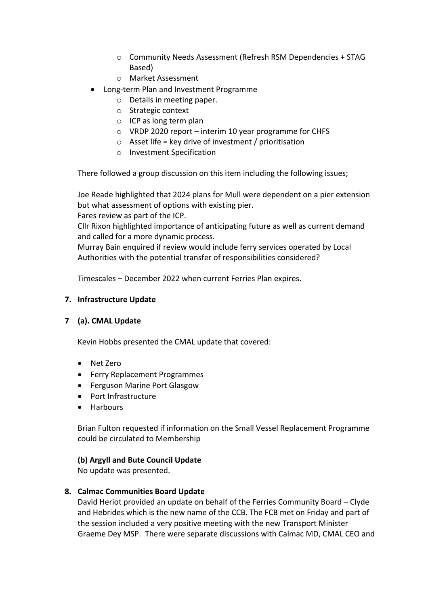- o Community Needs Assessment (Refresh RSM Dependencies + STAG Based)
- o Market Assessment
- Long-term Plan and Investment Programme
	- o Details in meeting paper.
	- o Strategic context
	- o ICP as long term plan
	- o VRDP 2020 report interim 10 year programme for CHFS
	- $\circ$  Asset life = key drive of investment / prioritisation
	- o Investment Specification

There followed a group discussion on this item including the following issues;

Joe Reade highlighted that 2024 plans for Mull were dependent on a pier extension but what assessment of options with existing pier.

Fares review as part of the ICP.

Cllr Rixon highlighted importance of anticipating future as well as current demand and called for a more dynamic process.

Murray Bain enquired if review would include ferry services operated by Local Authorities with the potential transfer of responsibilities considered?

Timescales – December 2022 when current Ferries Plan expires.

# **7. Infrastructure Update**

# **7 (a). CMAL Update**

Kevin Hobbs presented the CMAL update that covered:

- Net Zero
- Ferry Replacement Programmes
- Ferguson Marine Port Glasgow
- Port Infrastructure
- Harbours

Brian Fulton requested if information on the Small Vessel Replacement Programme could be circulated to Membership

### **(b) Argyll and Bute Council Update**

No update was presented.

### **8. Calmac Communities Board Update**

David Heriot provided an update on behalf of the Ferries Community Board – Clyde and Hebrides which is the new name of the CCB. The FCB met on Friday and part of the session included a very positive meeting with the new Transport Minister Graeme Dey MSP. There were separate discussions with Calmac MD, CMAL CEO and